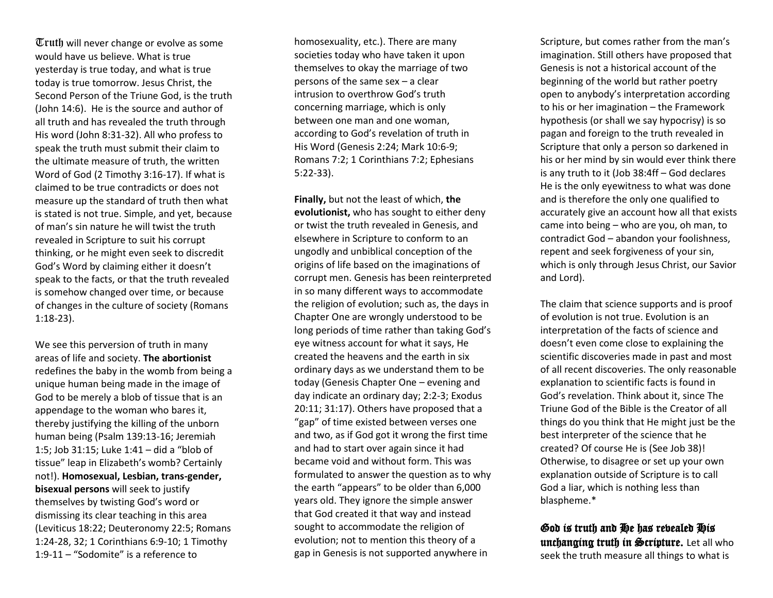$\mathbb{T}$ ruth will never change or evolve as some would have us believe. What is true yesterday is true today, and what is true today is true tomorrow. Jesus Christ, the Second Person of the Triune God, is the truth (John 14:6). He is the source and author of all truth and has revealed the truth through His word (John 8:31-32). All who profess to speak the truth must submit their claim to the ultimate measure of truth, the written Word of God (2 Timothy 3:16-17). If what is claimed to be true contradicts or does not measure up the standard of truth then what is stated is not true. Simple, and yet, because of man's sin nature he will twist the truth revealed in Scripture to suit his corrupt thinking, or he might even seek to discredit God's Word by claiming either it doesn't speak to the facts, or that the truth revealed is somehow changed over time, or because of changes in the culture of society (Romans 1:18-23).

We see this perversion of truth in many areas of life and society. **The abortionist** redefines the baby in the womb from being a unique human being made in the image of God to be merely a blob of tissue that is an appendage to the woman who bares it, thereby justifying the killing of the unborn human being (Psalm 139:13-16; Jeremiah 1:5; Job 31:15; Luke 1:41 – did a "blob of tissue" leap in Elizabeth's womb? Certainly not!). **Homosexual, Lesbian, trans-gender, bisexual persons** will seek to justify themselves by twisting God's word or dismissing its clear teaching in this area (Leviticus 18:22; Deuteronomy 22:5; Romans 1:24-28, 32; 1 Corinthians 6:9-10; 1 Timothy 1:9-11 – "Sodomite" is a reference to

homosexuality, etc.). There are many societies today who have taken it upon themselves to okay the marriage of two persons of the same sex – a clear intrusion to overthrow God's truth concerning marriage, which is only between one man and one woman, according to God's revelation of truth in His Word (Genesis 2:24; Mark 10:6-9; Romans 7:2; 1 Corinthians 7:2; Ephesians 5:22-33).

**Finally,** but not the least of which, **the evolutionist,** who has sought to either deny or twist the truth revealed in Genesis, and elsewhere in Scripture to conform to an ungodly and unbiblical conception of the origins of life based on the imaginations of corrupt men. Genesis has been reinterpreted in so many different ways to accommodate the religion of evolution; such as, the days in Chapter One are wrongly understood to be long periods of time rather than taking God's eye witness account for what it says, He created the heavens and the earth in six ordinary days as we understand them to be today (Genesis Chapter One – evening and day indicate an ordinary day; 2:2-3; Exodus 20:11; 31:17). Others have proposed that a "gap" of time existed between verses one and two, as if God got it wrong the first time and had to start over again since it had became void and without form. This was formulated to answer the question as to why the earth "appears" to be older than 6,000 years old. They ignore the simple answer that God created it that way and instead sought to accommodate the religion of evolution; not to mention this theory of a gap in Genesis is not supported anywhere in

Scripture, but comes rather from the man's imagination. Still others have proposed that Genesis is not a historical account of the beginning of the world but rather poetry open to anybody's interpretation according to his or her imagination – the Framework hypothesis (or shall we say hypocrisy) is so pagan and foreign to the truth revealed in Scripture that only a person so darkened in his or her mind by sin would ever think there is any truth to it (Job 38:4ff – God declares He is the only eyewitness to what was done and is therefore the only one qualified to accurately give an account how all that exists came into being – who are you, oh man, to contradict God – abandon your foolishness, repent and seek forgiveness of your sin, which is only through Jesus Christ, our Savior and Lord).

The claim that science supports and is proof of evolution is not true. Evolution is an interpretation of the facts of science and doesn't even come close to explaining the scientific discoveries made in past and most of all recent discoveries. The only reasonable explanation to scientific facts is found in God's revelation. Think about it, since The Triune God of the Bible is the Creator of all things do you think that He might just be the best interpreter of the science that he created? Of course He is (See Job 38)! Otherwise, to disagree or set up your own explanation outside of Scripture is to call God a liar, which is nothing less than blaspheme.\*

God is truth and He has revealed His unchanging truth in Scripture. Let all who seek the truth measure all things to what is